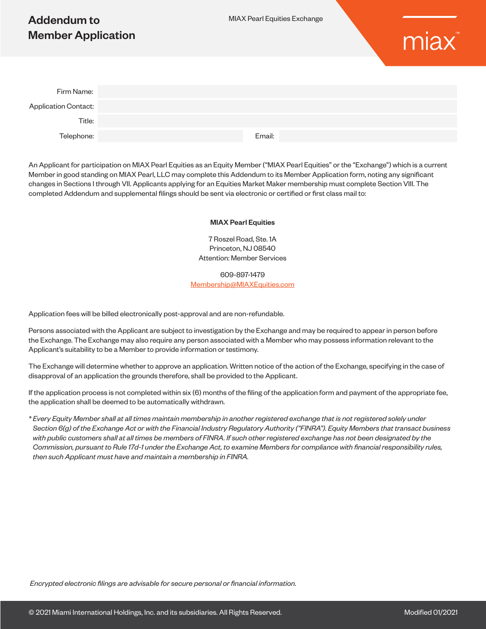# Addendum to Member Application



| Firm Name:                  |        |
|-----------------------------|--------|
| <b>Application Contact:</b> |        |
| Title:                      |        |
| Telephone:                  | Email: |

An Applicant for participation on MIAX Pearl Equities as an Equity Member ("MIAX Pearl Equities" or the "Exchange") which is a current Member in good standing on MIAX Pearl, LLC may complete this Addendum to its Member Application form, noting any significant changes in Sections I through VII. Applicants applying for an Equities Market Maker membership must complete Section VIII. The completed Addendum and supplemental filings should be sent via electronic or certified or first class mail to:

#### MIAX Pearl Equities

7 Roszel Road, Ste. 1A Princeton, NJ 08540 Attention: Member Services

609-897-1479 [Membership@MIAXEquities.com](mailto:Membership%40MIAXEquities.com?subject=)

Application fees will be billed electronically post-approval and are non-refundable.

Persons associated with the Applicant are subject to investigation by the Exchange and may be required to appear in person before the Exchange. The Exchange may also require any person associated with a Member who may possess information relevant to the Applicant's suitability to be a Member to provide information or testimony.

The Exchange will determine whether to approve an application. Written notice of the action of the Exchange, specifying in the case of disapproval of an application the grounds therefore, shall be provided to the Applicant.

If the application process is not completed within six (6) months of the filing of the application form and payment of the appropriate fee, the application shall be deemed to be automatically withdrawn.

*\* Every Equity Member shall at all times maintain membership in another registered exchange that is not registered solely under Section 6(g) of the Exchange Act or with the Financial Industry Regulatory Authority ("FINRA"). Equity Members that transact business with public customers shall at all times be members of FINRA. If such other registered exchange has not been designated by the Commission, pursuant to Rule 17d-1 under the Exchange Act, to examine Members for compliance with financial responsibility rules, then such Applicant must have and maintain a membership in FINRA.*

 *Encrypted electronic filings are advisable for secure personal or financial information.*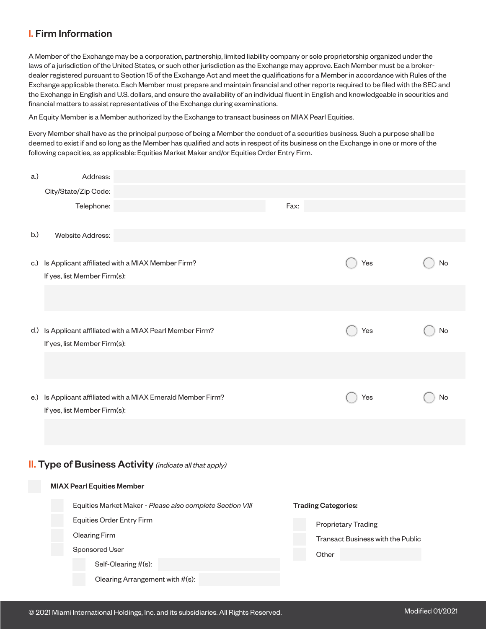## I. Firm Information

A Member of the Exchange may be a corporation, partnership, limited liability company or sole proprietorship organized under the laws of a jurisdiction of the United States, or such other jurisdiction as the Exchange may approve. Each Member must be a brokerdealer registered pursuant to Section 15 of the Exchange Act and meet the qualifications for a Member in accordance with Rules of the Exchange applicable thereto. Each Member must prepare and maintain financial and other reports required to be filed with the SEC and the Exchange in English and U.S. dollars, and ensure the availability of an individual fluent in English and knowledgeable in securities and financial matters to assist representatives of the Exchange during examinations.

An Equity Member is a Member authorized by the Exchange to transact business on MIAX Pearl Equities.

Every Member shall have as the principal purpose of being a Member the conduct of a securities business. Such a purpose shall be deemed to exist if and so long as the Member has qualified and acts in respect of its business on the Exchange in one or more of the following capacities, as applicable: Equities Market Maker and/or Equities Order Entry Firm.

| a.) | Address:                                               |                                                                |      |                                   |     |    |  |
|-----|--------------------------------------------------------|----------------------------------------------------------------|------|-----------------------------------|-----|----|--|
|     | City/State/Zip Code:                                   |                                                                |      |                                   |     |    |  |
|     | Telephone:                                             |                                                                | Fax: |                                   |     |    |  |
|     |                                                        |                                                                |      |                                   |     |    |  |
| b.) | <b>Website Address:</b>                                |                                                                |      |                                   |     |    |  |
|     |                                                        |                                                                |      |                                   |     |    |  |
|     | c.) Is Applicant affiliated with a MIAX Member Firm?   |                                                                |      |                                   | Yes | No |  |
|     | If yes, list Member Firm(s):                           |                                                                |      |                                   |     |    |  |
|     |                                                        |                                                                |      |                                   |     |    |  |
|     |                                                        |                                                                |      |                                   |     |    |  |
|     |                                                        |                                                                |      |                                   |     |    |  |
| d.) | Is Applicant affiliated with a MIAX Pearl Member Firm? |                                                                |      |                                   | Yes | No |  |
|     | If yes, list Member Firm(s):                           |                                                                |      |                                   |     |    |  |
|     |                                                        |                                                                |      |                                   |     |    |  |
|     |                                                        |                                                                |      |                                   |     |    |  |
| e.) |                                                        | Is Applicant affiliated with a MIAX Emerald Member Firm?       |      |                                   | Yes | No |  |
|     | If yes, list Member Firm(s):                           |                                                                |      |                                   |     |    |  |
|     |                                                        |                                                                |      |                                   |     |    |  |
|     |                                                        |                                                                |      |                                   |     |    |  |
|     |                                                        |                                                                |      |                                   |     |    |  |
|     |                                                        | <b>II.</b> Type of Business Activity (indicate all that apply) |      |                                   |     |    |  |
|     |                                                        |                                                                |      |                                   |     |    |  |
|     | <b>MIAX Pearl Equities Member</b>                      |                                                                |      |                                   |     |    |  |
|     |                                                        | Equities Market Maker - Please also complete Section VIII      |      | <b>Trading Categories:</b>        |     |    |  |
|     | Equities Order Entry Firm<br><b>Clearing Firm</b>      |                                                                |      | <b>Proprietary Trading</b>        |     |    |  |
|     |                                                        |                                                                |      | Transact Business with the Public |     |    |  |
|     | Sponsored User                                         |                                                                |      | Other                             |     |    |  |
|     |                                                        | Self-Clearing #(s):                                            |      |                                   |     |    |  |
|     |                                                        | Clearing Arrangement with #(s):                                |      |                                   |     |    |  |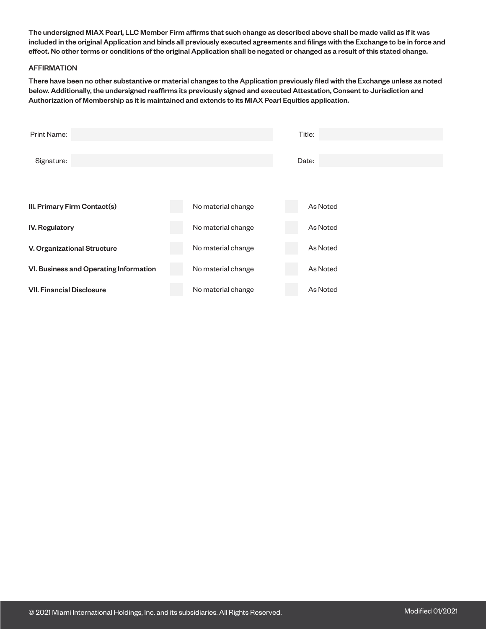The undersigned MIAX Pearl, LLC Member Firm affirms that such change as described above shall be made valid as if it was included in the original Application and binds all previously executed agreements and filings with the Exchange to be in force and effect. No other terms or conditions of the original Application shall be negated or changed as a result of this stated change.

#### AFFIRMATION

There have been no other substantive or material changes to the Application previously filed with the Exchange unless as noted below. Additionally, the undersigned reaffirms its previously signed and executed Attestation, Consent to Jurisdiction and Authorization of Membership as it is maintained and extends to its MIAX Pearl Equities application.

| Print Name:                            |                    | Title:   |  |  |  |
|----------------------------------------|--------------------|----------|--|--|--|
| Signature:                             | Date:              |          |  |  |  |
| III. Primary Firm Contact(s)           | No material change | As Noted |  |  |  |
| <b>IV. Regulatory</b>                  | No material change | As Noted |  |  |  |
| V. Organizational Structure            | No material change | As Noted |  |  |  |
| VI. Business and Operating Information | No material change | As Noted |  |  |  |
| <b>VII. Financial Disclosure</b>       | No material change | As Noted |  |  |  |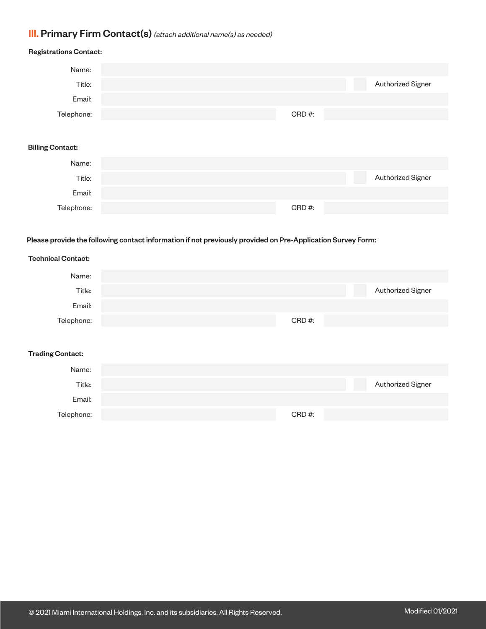## III. Primary Firm Contact(s) *(attach additional name(s) as needed)*

Telephone:

## Authorized Signer Authorized Signer Registrations Contact: Billing Contact: Name: Title: Email: Telephone: Name: Title: Email: CRD #:

CRD #:

#### Please provide the following contact information if not previously provided on Pre-Application Survey Form:

## Authorized Signer Authorized Signer Technical Contact: Trading Contact: Name: Title: Email: Telephone: Name: Title: Email: Telephone: CRD #: CRD #: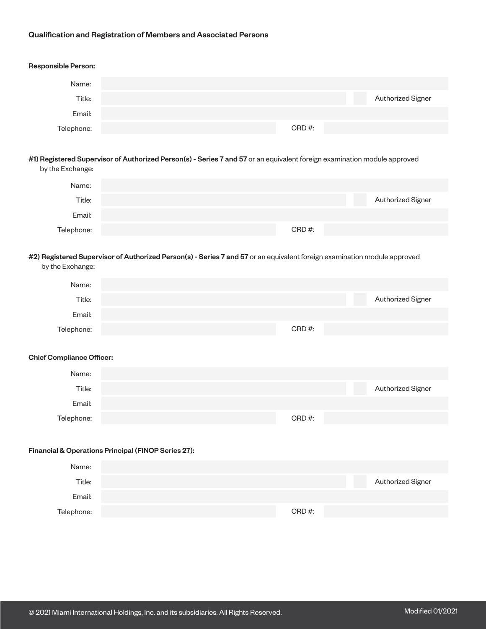#### Qualification and Registration of Members and Associated Persons

## Authorized Signer Authorized Signer Authorized Signer Responsible Person: #1) Registered Supervisor of Authorized Person(s) - Series 7 and 57 or an equivalent foreign examination module approved by the Exchange: #2) Registered Supervisor of Authorized Person(s) - Series 7 and 57 or an equivalent foreign examination module approved by the Exchange: Name: Name: Name: Title: Title: Title: Email: Email: Email: Telephone: Telephone: Telephone: CRD #: CRD #: CRD #:

#### Chief Compliance Officer:

| Name:      |          |                   |
|------------|----------|-------------------|
| Title:     |          | Authorized Signer |
| Email:     |          |                   |
| Telephone: | $CRD#$ : |                   |

#### Financial & Operations Principal (FINOP Series 27):

| Name:      |       |                   |
|------------|-------|-------------------|
| Title:     |       | Authorized Signer |
| Email:     |       |                   |
| Telephone: | CRD#: |                   |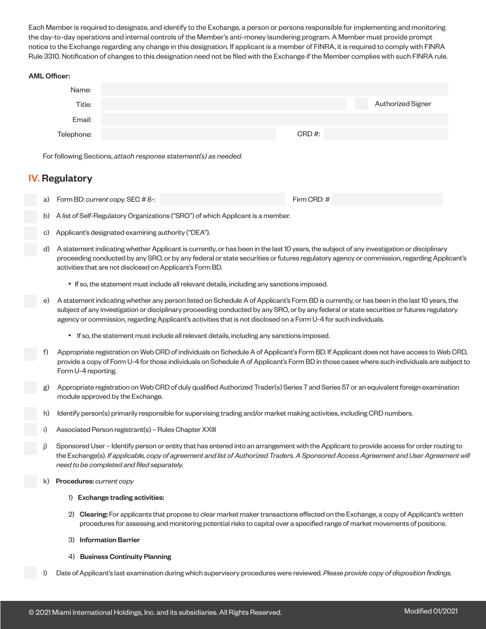Each Member is required to designate, and identify to the Exchange, a person or persons responsible for implementing and monitoring the day-to-day operations and internal controls of the Member's anti-money laundering program. A Member must provide prompt notice to the Exchange regarding any change in this designation. If applicant is a member of FINRA, it is required to comply with FINRA Rule 3310. Notification of changes to this designation need not be filed with the Exchange if the Member complies with such FINRA rule.

#### AML Officer:



For following Sections, *attach response statement(s) as needed.*

## IV. Regulatory

- a) Form BD: *current copy.* SEC # 8-: Firm CRD: #
- b) A list of Self-Regulatory Organizations ("SRO") of which Applicant is a member.
- c) Applicant's designated examining authority ("DEA").
- d) A statement indicating whether Applicant is currently, or has been in the last 10 years, the subject of any investigation or disciplinary proceeding conducted by any SRO, or by any federal or state securities or futures regulatory agency or commission, regarding Applicant's activities that are not disclosed on Applicant's Form BD.
	- If so, the statement must include all relevant details, including any sanctions imposed.
- e) A statement indicating whether any person listed on Schedule A of Applicant's Form BD is currently, or has been in the last 10 years, the subject of any investigation or disciplinary proceeding conducted by any SRO, or by any federal or state securities or futures regulatory agency or commission, regarding Applicant's activities that is not disclosed on a Form U-4 for such individuals.
	- If so, the statement must include all relevant details, including any sanctions imposed.
- Appropriate registration on Web CRD of individuals on Schedule A of Applicant's Form BD. If Applicant does not have access to Web CRD, provide a copy of Form U-4 for those individuals on Schedule A of Applicant's Form BD in those cases where such individuals are subject to Form U-4 reporting.
- Appropriate registration on Web CRD of duly qualified Authorized Trader(s) Series 7 and Series 57 or an equivalent foreign examination module approved by the Exchange.
- ldentify person(s) primarily responsible for supervising trading and/or market making activities, including CRD numbers.
- Associated Person registrant(s) Rules Chapter XXIII
- Sponsored User Identify person or entity that has entered into an arrangement with the Applicant to provide access for order routing to the Exchange(s). *If applicable, copy of agreement and list of Authorized Traders. A Sponsored Access Agreement and User Agreement will need to be completed and filed separately.*
- k) Procedures: *current copy*
	- 1) Exchange trading activities:
	- 2) Clearing: For applicants that propose to clear market maker transactions effected on the Exchange, a copy of Applicant's written procedures for assessing and monitoring potential risks to capital over a specified range of market movements of positions.
	- 3) Information Barrier
	- 4) Business Continuity Planning
- l) Date of Applicant's last examination during which supervisory procedures were reviewed*. Please provide copy of disposition findings.*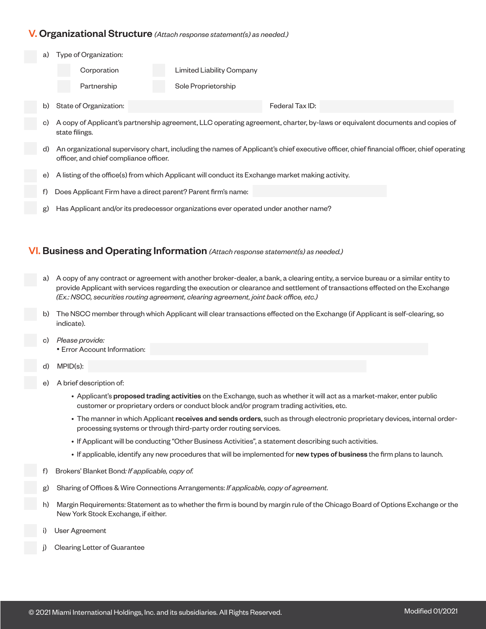### V. Organizational Structure *(Attach response statement(s) as needed.)*

a) Type of Organization:

| Corporation |  | <b>Limited Liability Company</b> |
|-------------|--|----------------------------------|
|-------------|--|----------------------------------|

Partnership Sole Proprietorship

b) State of Organization: **Federal Tax ID:** Federal Tax ID:

- c) A copy of Applicant's partnership agreement, LLC operating agreement, charter, by-laws or equivalent documents and copies of state filings.
- d) An organizational supervisory chart, including the names of Applicant's chief executive officer, chief financial officer, chief operating officer, and chief compliance officer.
- e) A listing of the office(s) from which Applicant will conduct its Exchange market making activity.
- f) Does Applicant Firm have a direct parent? Parent firm's name:
- Has Applicant and/or its predecessor organizations ever operated under another name?

### VI. Business and Operating Information *(Attach response statement(s) as needed.)*

- a) A copy of any contract or agreement with another broker-dealer, a bank, a clearing entity, a service bureau or a similar entity to provide Applicant with services regarding the execution or clearance and settlement of transactions effected on the Exchange *(Ex.: NSCC, securities routing agreement, clearing agreement, joint back office, etc.)*
- The NSCC member through which Applicant will clear transactions effected on the Exchange (if Applicant is self-clearing, so indicate).
- c) *Please provide:*  • Error Account Information:
- d) MPID(s):
- e) A brief description of:
	- Applicant's proposed trading activities on the Exchange, such as whether it will act as a market-maker, enter public customer or proprietary orders or conduct block and/or program trading activities, etc.
	- The manner in which Applicant receives and sends orders, such as through electronic proprietary devices, internal orderprocessing systems or through third-party order routing services.
	- If Applicant will be conducting "Other Business Activities", a statement describing such activities.
	- If applicable, identify any new procedures that will be implemented for new types of business the firm plans to launch.
- f) Brokers' Blanket Bond*: If applicable, copy of.*
- g) Sharing of Offices & Wire Connections Arrangements: *If applicable, copy of agreement.*
- h) Margin Requirements: Statement as to whether the firm is bound by margin rule of the Chicago Board of Options Exchange or the New York Stock Exchange, if either.
- User Agreement
- **Clearing Letter of Guarantee**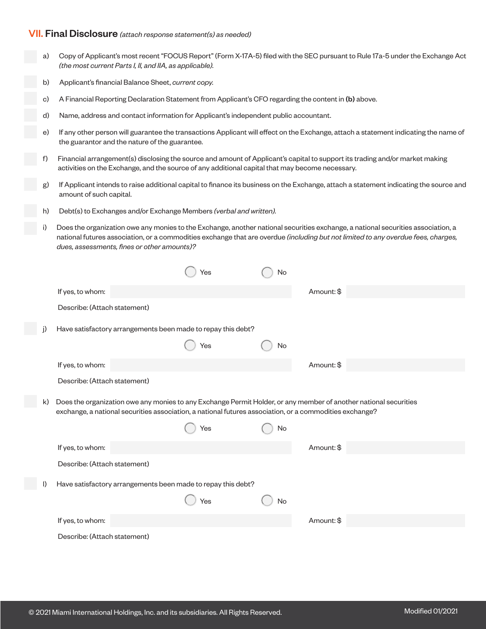### VII. Final Disclosure *(attach response statement(s) as needed)*

- a) Copy of Applicant's most recent "FOCUS Report" (Form X-17A-5) filed with the SEC pursuant to Rule 17a-5 under the Exchange Act *(the most current Parts I, II, and IIA, as applicable).*
- b) Applicant's financial Balance Sheet, *current copy.*
- c) A Financial Reporting Declaration Statement from Applicant's CFO regarding the content in (b) above.
- d) Name, address and contact information for Applicant's independent public accountant.
- e) If any other person will guarantee the transactions Applicant will effect on the Exchange, attach a statement indicating the name of the guarantor and the nature of the guarantee.
- f) Financial arrangement(s) disclosing the source and amount of Applicant's capital to support its trading and/or market making activities on the Exchange, and the source of any additional capital that may become necessary.
- g) If Applicant intends to raise additional capital to finance its business on the Exchange, attach a statement indicating the source and amount of such capital.
	- h) Debt(s) to Exchanges and/or Exchange Members *(verbal and written).*
	- i) Does the organization owe any monies to the Exchange, another national securities exchange, a national securities association, a national futures association, or a commodities exchange that are overdue *(including but not limited to any overdue fees, charges, dues, assessments, fines or other amounts)?*

|              |                                                                                                                                                                                                                             | Yes | No |            |
|--------------|-----------------------------------------------------------------------------------------------------------------------------------------------------------------------------------------------------------------------------|-----|----|------------|
|              | If yes, to whom:                                                                                                                                                                                                            |     |    | Amount: \$ |
|              | Describe: (Attach statement)                                                                                                                                                                                                |     |    |            |
| j)           | Have satisfactory arrangements been made to repay this debt?                                                                                                                                                                |     |    |            |
|              |                                                                                                                                                                                                                             | Yes | No |            |
|              | If yes, to whom:                                                                                                                                                                                                            |     |    | Amount: \$ |
|              | Describe: (Attach statement)                                                                                                                                                                                                |     |    |            |
| k)           | Does the organization owe any monies to any Exchange Permit Holder, or any member of another national securities<br>exchange, a national securities association, a national futures association, or a commodities exchange? |     |    |            |
|              |                                                                                                                                                                                                                             | Yes | No |            |
|              | If yes, to whom:                                                                                                                                                                                                            |     |    | Amount: \$ |
|              | Describe: (Attach statement)                                                                                                                                                                                                |     |    |            |
| $\mathsf{I}$ | Have satisfactory arrangements been made to repay this debt?                                                                                                                                                                |     |    |            |
|              |                                                                                                                                                                                                                             | Yes | No |            |
|              | If yes, to whom:                                                                                                                                                                                                            |     |    | Amount: \$ |
|              | Describe: (Attach statement)                                                                                                                                                                                                |     |    |            |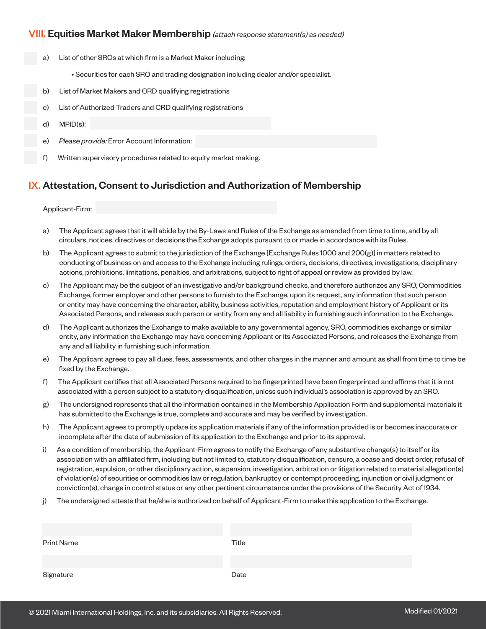### VIII. Equities Market Maker Membership *(attach response statement(s) as needed)*

- a) List of other SROs at which firm is a Market Maker including:
	- Securities for each SRO and trading designation including dealer and/or specialist.
- b) List of Market Makers and CRD qualifying registrations
- c) List of Authorized Traders and CRD qualifying registrations
- d) MPID(s):
- e) *Please provide:* Error Account Information:
- f) Written supervisory procedures related to equity market making.

### IX. Attestation, Consent to Jurisdiction and Authorization of Membership

#### Applicant-Firm:

- a) The Applicant agrees that it will abide by the By-Laws and Rules of the Exchange as amended from time to time, and by all circulars, notices, directives or decisions the Exchange adopts pursuant to or made in accordance with its Rules.
- b) The Applicant agrees to submit to the jurisdiction of the Exchange [Exchange Rules 1000 and 200(g)] in matters related to conducting of business on and access to the Exchange including rulings, orders, decisions, directives, investigations, disciplinary actions, prohibitions, limitations, penalties, and arbitrations, subject to right of appeal or review as provided by law.
- c) The Applicant may be the subject of an investigative and/or background checks, and therefore authorizes any SRO, Commodities Exchange, former employer and other persons to furnish to the Exchange, upon its request, any information that such person or entity may have concerning the character, ability, business activities, reputation and employment history of Applicant or its Associated Persons, and releases such person or entity from any and all liability in furnishing such information to the Exchange.
- d) The Applicant authorizes the Exchange to make available to any governmental agency, SRO, commodities exchange or similar entity, any information the Exchange may have concerning Applicant or its Associated Persons, and releases the Exchange from any and all liability in furnishing such information.
- e) The Applicant agrees to pay all dues, fees, assessments, and other charges in the manner and amount as shall from time to time be fixed by the Exchange.
- f) The Applicant certifies that all Associated Persons required to be fingerprinted have been fingerprinted and affirms that it is not associated with a person subject to a statutory disqualification, unless such individual's association is approved by an SRO.
- g) The undersigned represents that all the information contained in the Membership Application Form and supplemental materials it has submitted to the Exchange is true, complete and accurate and may be verified by investigation.
- h) The Applicant agrees to promptly update its application materials if any of the information provided is or becomes inaccurate or incomplete after the date of submission of its application to the Exchange and prior to its approval.
- i) As a condition of membership, the Applicant-Firm agrees to notify the Exchange of any substantive change(s) to itself or its association with an affiliated firm, including but not limited to, statutory disqualification, censure, a cease and desist order, refusal of registration, expulsion, or other disciplinary action, suspension, investigation, arbitration or litigation related to material allegation(s) of violation(s) of securities or commodities law or regulation, bankruptcy or contempt proceeding, injunction or civil judgment or conviction(s), change in control status or any other pertinent circumstance under the provisions of the Security Act of 1934.
- j) The undersigned attests that he/she is authorized on behalf of Applicant-Firm to make this application to the Exchange.

| <b>Print Name</b> | Title |
|-------------------|-------|
|                   |       |
|                   |       |
| Signature         | Date  |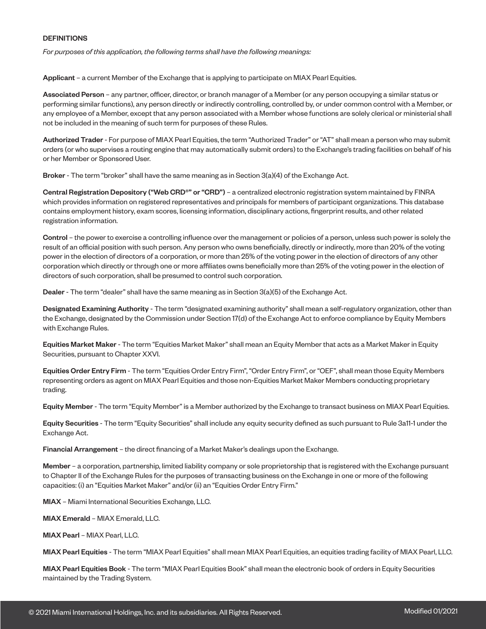#### **DEFINITIONS**

*For purposes of this application, the following terms shall have the following meanings:*

Applicant – a current Member of the Exchange that is applying to participate on MIAX Pearl Equities.

Associated Person – any partner, officer, director, or branch manager of a Member (or any person occupying a similar status or performing similar functions), any person directly or indirectly controlling, controlled by, or under common control with a Member, or any employee of a Member, except that any person associated with a Member whose functions are solely clerical or ministerial shall not be included in the meaning of such term for purposes of these Rules.

Authorized Trader - For purpose of MIAX Pearl Equities, the term "Authorized Trader" or "AT" shall mean a person who may submit orders (or who supervises a routing engine that may automatically submit orders) to the Exchange's trading facilities on behalf of his or her Member or Sponsored User.

Broker - The term "broker" shall have the same meaning as in Section 3(a)(4) of the Exchange Act.

Central Registration Depository ("Web CRD®" or "CRD") - a centralized electronic registration system maintained by FINRA which provides information on registered representatives and principals for members of participant organizations. This database contains employment history, exam scores, licensing information, disciplinary actions, fingerprint results, and other related registration information.

Control – the power to exercise a controlling influence over the management or policies of a person, unless such power is solely the result of an official position with such person. Any person who owns beneficially, directly or indirectly, more than 20% of the voting power in the election of directors of a corporation, or more than 25% of the voting power in the election of directors of any other corporation which directly or through one or more affiliates owns beneficially more than 25% of the voting power in the election of directors of such corporation, shall be presumed to control such corporation.

Dealer - The term "dealer" shall have the same meaning as in Section 3(a)(5) of the Exchange Act.

Designated Examining Authority - The term "designated examining authority" shall mean a self-regulatory organization, other than the Exchange, designated by the Commission under Section 17(d) of the Exchange Act to enforce compliance by Equity Members with Exchange Rules.

Equities Market Maker - The term "Equities Market Maker" shall mean an Equity Member that acts as a Market Maker in Equity Securities, pursuant to Chapter XXVI.

Equities Order Entry Firm - The term "Equities Order Entry Firm", "Order Entry Firm", or "OEF", shall mean those Equity Members representing orders as agent on MIAX Pearl Equities and those non-Equities Market Maker Members conducting proprietary trading.

Equity Member - The term "Equity Member" is a Member authorized by the Exchange to transact business on MIAX Pearl Equities.

Equity Securities - The term "Equity Securities" shall include any equity security defined as such pursuant to Rule 3a11-1 under the Exchange Act.

Financial Arrangement – the direct financing of a Market Maker's dealings upon the Exchange.

Member – a corporation, partnership, limited liability company or sole proprietorship that is registered with the Exchange pursuant to Chapter II of the Exchange Rules for the purposes of transacting business on the Exchange in one or more of the following capacities: (i) an "Equities Market Maker" and/or (ii) an "Equities Order Entry Firm."

MIAX – Miami International Securities Exchange, LLC.

MIAX Emerald – MIAX Emerald, LLC.

MIAX Pearl – MIAX Pearl, LLC.

MIAX Pearl Equities - The term "MIAX Pearl Equities" shall mean MIAX Pearl Equities, an equities trading facility of MIAX Pearl, LLC.

MIAX Pearl Equities Book - The term "MIAX Pearl Equities Book" shall mean the electronic book of orders in Equity Securities maintained by the Trading System.